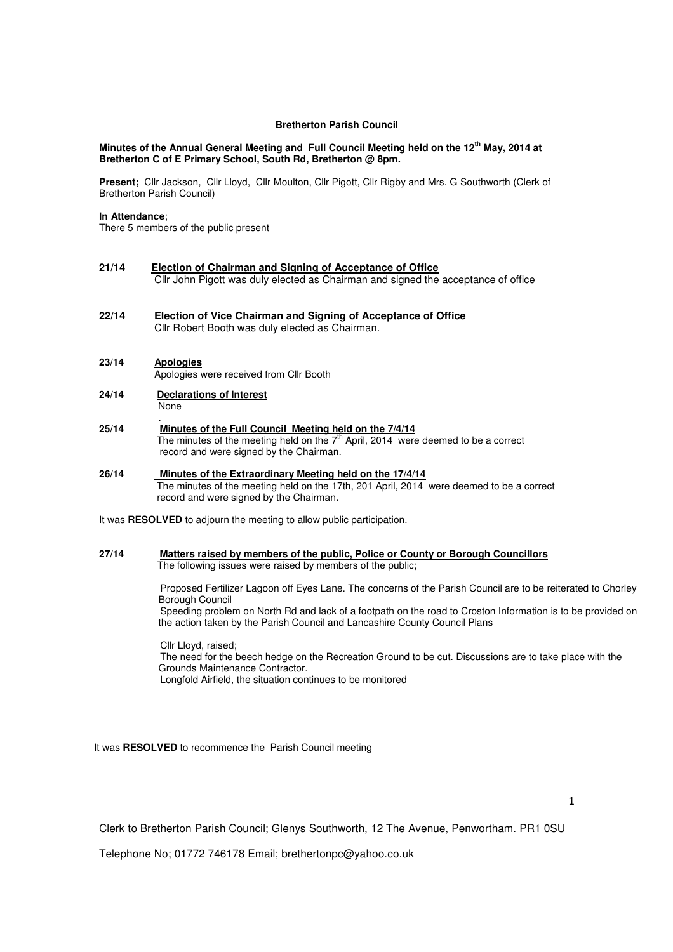## **Bretherton Parish Council**

## **Minutes of the Annual General Meeting and Full Council Meeting held on the 12th May, 2014 at Bretherton C of E Primary School, South Rd, Bretherton @ 8pm.**

**Present;** Cllr Jackson, Cllr Lloyd, Cllr Moulton, Cllr Pigott, Cllr Rigby and Mrs. G Southworth (Clerk of Bretherton Parish Council)

# **In Attendance**;

There 5 members of the public present

- **21/14 Election of Chairman and Signing of Acceptance of Office** Cllr John Pigott was duly elected as Chairman and signed the acceptance of office
- **22/14 Election of Vice Chairman and Signing of Acceptance of Office** Cllr Robert Booth was duly elected as Chairman.
- **23/14 Apologies** Apologies were received from Cllr Booth
- **24/14 Declarations of Interest** None
- . **25/14 Minutes of the Full Council Meeting held on the 7/4/14** The minutes of the meeting held on the  $7<sup>th</sup>$  April, 2014 were deemed to be a correct record and were signed by the Chairman.
- **26/14 Minutes of the Extraordinary Meeting held on the 17/4/14** The minutes of the meeting held on the 17th, 201 April, 2014 were deemed to be a correct record and were signed by the Chairman.

It was **RESOLVED** to adjourn the meeting to allow public participation.

**27/14 Matters raised by members of the public, Police or County or Borough Councillors**  The following issues were raised by members of the public;

> Proposed Fertilizer Lagoon off Eyes Lane. The concerns of the Parish Council are to be reiterated to Chorley Borough Council Speeding problem on North Rd and lack of a footpath on the road to Croston Information is to be provided on the action taken by the Parish Council and Lancashire County Council Plans

 Cllr Lloyd, raised; The need for the beech hedge on the Recreation Ground to be cut. Discussions are to take place with the Grounds Maintenance Contractor. Longfold Airfield, the situation continues to be monitored

It was **RESOLVED** to recommence the Parish Council meeting

1

Clerk to Bretherton Parish Council; Glenys Southworth, 12 The Avenue, Penwortham. PR1 0SU

Telephone No; 01772 746178 Email; brethertonpc@yahoo.co.uk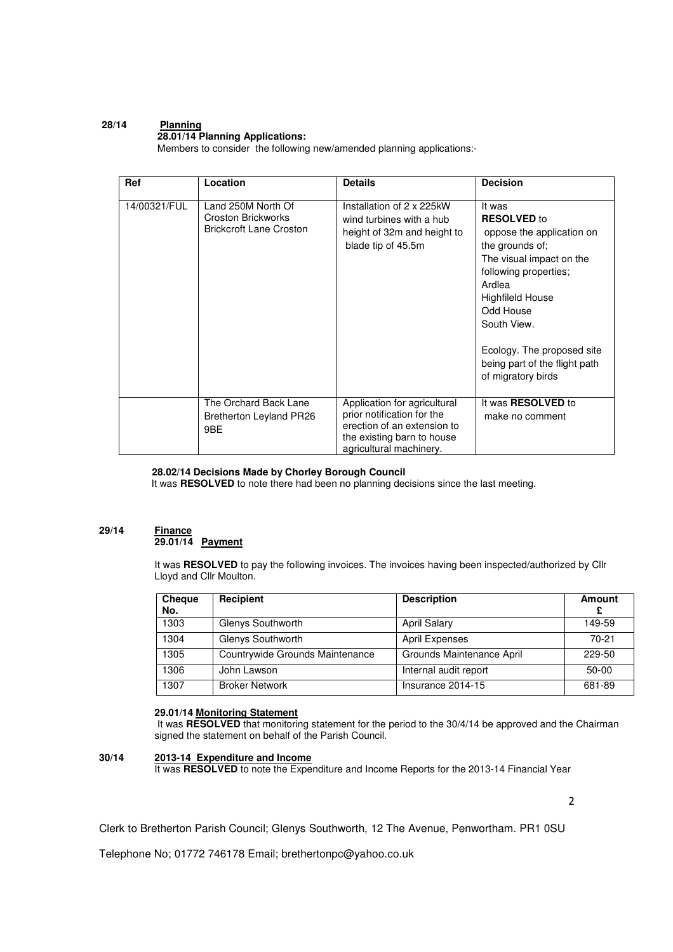#### **28/14 Planning 28.01/14 Planning Applications:**

Members to consider the following new/amended planning applications:-

| Ref          | Location                                                                   | <b>Details</b>                                                                                                                                     | <b>Decision</b>                                                                                                                                                                                                                                                                         |
|--------------|----------------------------------------------------------------------------|----------------------------------------------------------------------------------------------------------------------------------------------------|-----------------------------------------------------------------------------------------------------------------------------------------------------------------------------------------------------------------------------------------------------------------------------------------|
| 14/00321/FUL | Land 250M North Of<br>Croston Brickworks<br><b>Brickcroft Lane Croston</b> | Installation of 2 x 225kW<br>wind turbines with a hub<br>height of 32m and height to<br>blade tip of 45.5m                                         | It was<br><b>RESOLVED</b> to<br>oppose the application on<br>the grounds of;<br>The visual impact on the<br>following properties;<br>Ardlea<br><b>Highfileld House</b><br>Odd House<br>South View.<br>Ecology. The proposed site<br>being part of the flight path<br>of migratory birds |
|              | The Orchard Back Lane<br><b>Bretherton Leyland PR26</b><br>9BE             | Application for agricultural<br>prior notification for the<br>erection of an extension to<br>the existing barn to house<br>agricultural machinery. | It was <b>RESOLVED</b> to<br>make no comment                                                                                                                                                                                                                                            |

# **28.02/14 Decisions Made by Chorley Borough Council**

It was **RESOLVED** to note there had been no planning decisions since the last meeting.

## **29/14 Finance 29.01/14 Payment**

It was **RESOLVED** to pay the following invoices. The invoices having been inspected/authorized by Cllr Lloyd and Cllr Moulton.

| <b>Cheque</b><br>No. | <b>Recipient</b>                | <b>Description</b>        | Amount  |
|----------------------|---------------------------------|---------------------------|---------|
| 1303                 | Glenys Southworth               | <b>April Salary</b>       | 149-59  |
| 1304                 | Glenys Southworth               | <b>April Expenses</b>     | 70-21   |
| 1305                 | Countrywide Grounds Maintenance | Grounds Maintenance April | 229-50  |
| 1306                 | John Lawson                     | Internal audit report     | $50-00$ |
| 1307                 | <b>Broker Network</b>           | Insurance 2014-15         | 681-89  |

## **29.01/14 Monitoring Statement**

It was RESOLVED that monitoring statement for the period to the 30/4/14 be approved and the Chairman signed the statement on behalf of the Parish Council.

# **30/14 2013-14 Expenditure and Income**

It was RESOLVED to note the Expenditure and Income Reports for the 2013-14 Financial Year

2

Clerk to Bretherton Parish Council; Glenys Southworth, 12 The Avenue, Penwortham. PR1 0SU

Telephone No; 01772 746178 Email; brethertonpc@yahoo.co.uk